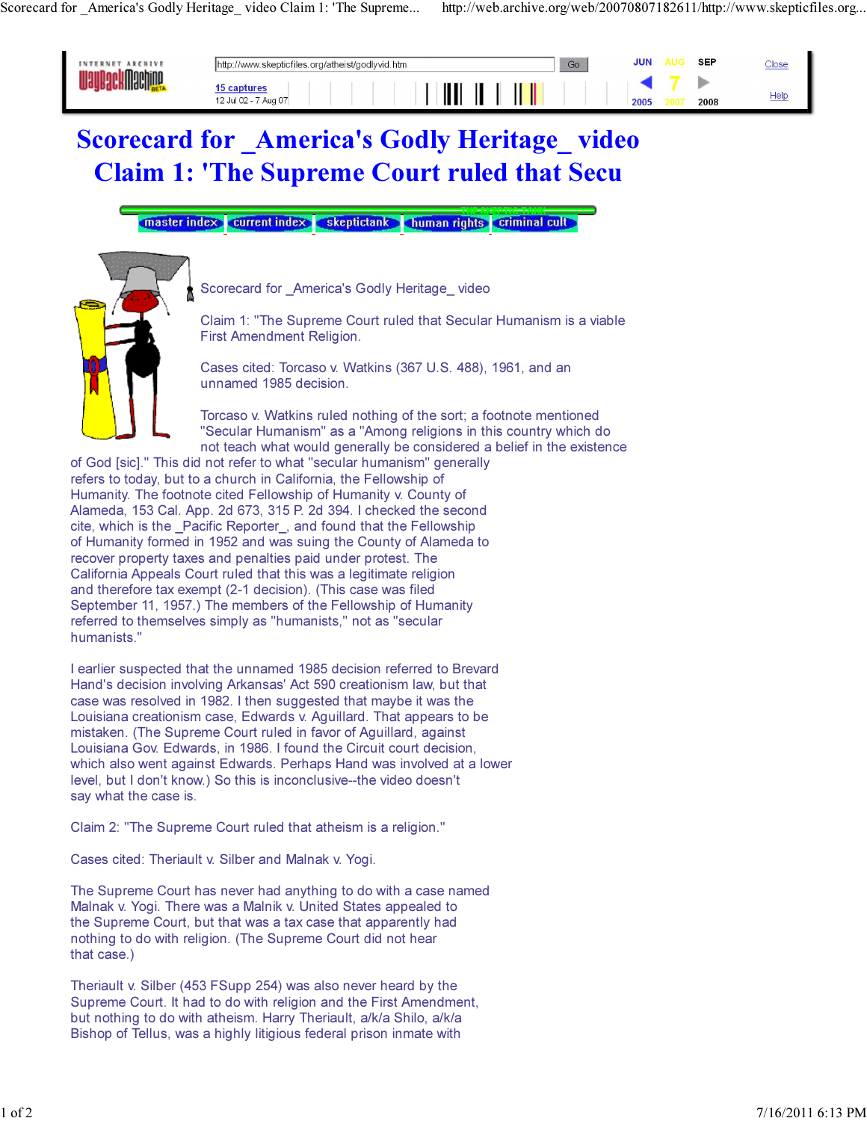

## Scorecard for America's Godly Heritage video Claim 1: 'The Supreme Court ruled that Secu

master index current index skeptictank human rights criminal cult



Scorecard for America's Godly Heritage video

Claim 1: "The Supreme Court ruled that Secular Humanism is a viable First Amendment Religion.

Cases cited: Torcaso v. Watkins (367 U.S. 488), 1961, and an unnamed 1985 decision.

Torcaso v. Watkins ruled nothing of the sort; a footnote mentioned "Secular Humanism" as a "Among religions in this country which do not teach what would generally be considered a belief in the existence

of God [sic]." This did not refer to what "secular humanism" generally refers to today, but to a church in California, the Fellowship of Humanity. The footnote cited Fellowship of Humanity v. County of Alameda, 153 Cal. App. 2d 673, 315 P. 2d 394. I checked the second cite, which is the \_Pacific Reporter\_, and found that the Fellowship of Humanity formed in 1952 and was suing the County of Alameda to recover property taxes and penalties paid under protest. The California Appeals Court ruled that this was a legitimate religion and therefore tax exempt (2-1 decision). (This case was filed September 11, 1957.) The members of the Fellowship of Humanity referred to themselves simply as "humanists," not as "secular humanists."

I earlier suspected that the unnamed 1985 decision referred to Brevard Hand's decision involving Arkansas' Act 590 creationism law, but that case was resolved in 1982. I then suggested that maybe it was the Louisiana creationism case, Edwards v. Aguillard. That appears to be mistaken. (The Supreme Court ruled in favor of Aguillard, against Louisiana Gov. Edwards, in 1986. I found the Circuit court decision, which also went against Edwards. Perhaps Hand was involved at a lower level, but I don't know.) So this is inconclusive--the video doesn't say what the case is.

Claim 2: "The Supreme Court ruled that atheism is a religion."

Cases cited: Theriault v. Silber and Malnak v. Yogi.

The Supreme Court has never had anything to do with a case named Malnak v. Yogi. There was a Malnik v. United States appealed to the Supreme Court, but that was a tax case that apparently had nothing to do with religion. (The Supreme Court did not hear that case.)

Theriault v. Silber (453 FSupp 254) was also never heard by the Supreme Court. It had to do with religion and the First Amendment, but nothing to do with atheism. Harry Theriault, a/k/a Shilo, a/k/a Bishop of Tellus, was a highly litigious federal prison inmate with